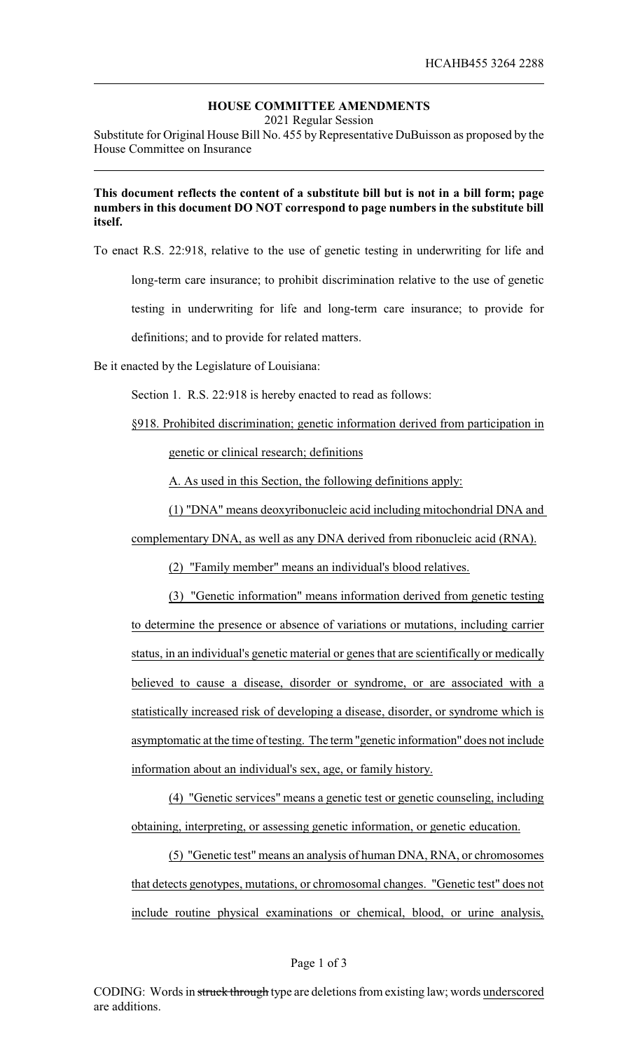## **HOUSE COMMITTEE AMENDMENTS**

2021 Regular Session

Substitute for Original House Bill No. 455 by Representative DuBuisson as proposed by the House Committee on Insurance

## **This document reflects the content of a substitute bill but is not in a bill form; page numbers in this document DO NOT correspond to page numbers in the substitute bill itself.**

To enact R.S. 22:918, relative to the use of genetic testing in underwriting for life and

long-term care insurance; to prohibit discrimination relative to the use of genetic

testing in underwriting for life and long-term care insurance; to provide for

definitions; and to provide for related matters.

Be it enacted by the Legislature of Louisiana:

Section 1. R.S. 22:918 is hereby enacted to read as follows:

§918. Prohibited discrimination; genetic information derived from participation in genetic or clinical research; definitions

A. As used in this Section, the following definitions apply:

(1) "DNA" means deoxyribonucleic acid including mitochondrial DNA and

complementary DNA, as well as any DNA derived from ribonucleic acid (RNA).

(2) "Family member" means an individual's blood relatives.

(3) "Genetic information" means information derived from genetic testing to determine the presence or absence of variations or mutations, including carrier status, in an individual's genetic material or genes that are scientifically or medically believed to cause a disease, disorder or syndrome, or are associated with a statistically increased risk of developing a disease, disorder, or syndrome which is asymptomatic at the time of testing. The term "genetic information" does not include information about an individual's sex, age, or family history.

(4) "Genetic services" means a genetic test or genetic counseling, including obtaining, interpreting, or assessing genetic information, or genetic education.

(5) "Genetic test" means an analysis of human DNA, RNA, or chromosomes that detects genotypes, mutations, or chromosomal changes. "Genetic test" does not include routine physical examinations or chemical, blood, or urine analysis,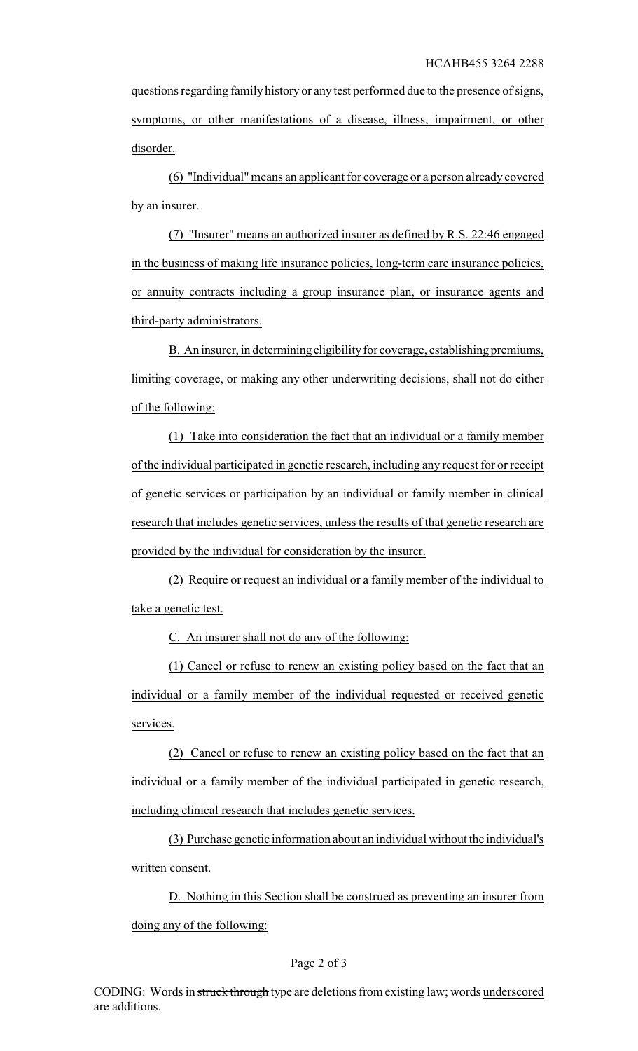questions regarding family history or any test performed due to the presence of signs, symptoms, or other manifestations of a disease, illness, impairment, or other disorder.

(6) "Individual" means an applicant for coverage or a person already covered by an insurer.

(7) "Insurer" means an authorized insurer as defined by R.S. 22:46 engaged in the business of making life insurance policies, long-term care insurance policies, or annuity contracts including a group insurance plan, or insurance agents and third-party administrators.

B. An insurer, in determining eligibility for coverage, establishing premiums, limiting coverage, or making any other underwriting decisions, shall not do either of the following:

(1) Take into consideration the fact that an individual or a family member of the individual participated in genetic research, including any request for or receipt of genetic services or participation by an individual or family member in clinical research that includes genetic services, unless the results of that genetic research are provided by the individual for consideration by the insurer.

(2) Require or request an individual or a family member of the individual to take a genetic test.

C. An insurer shall not do any of the following:

(1) Cancel or refuse to renew an existing policy based on the fact that an individual or a family member of the individual requested or received genetic services.

(2) Cancel or refuse to renew an existing policy based on the fact that an individual or a family member of the individual participated in genetic research, including clinical research that includes genetic services.

(3) Purchase genetic information about an individual without the individual's written consent.

D. Nothing in this Section shall be construed as preventing an insurer from doing any of the following: